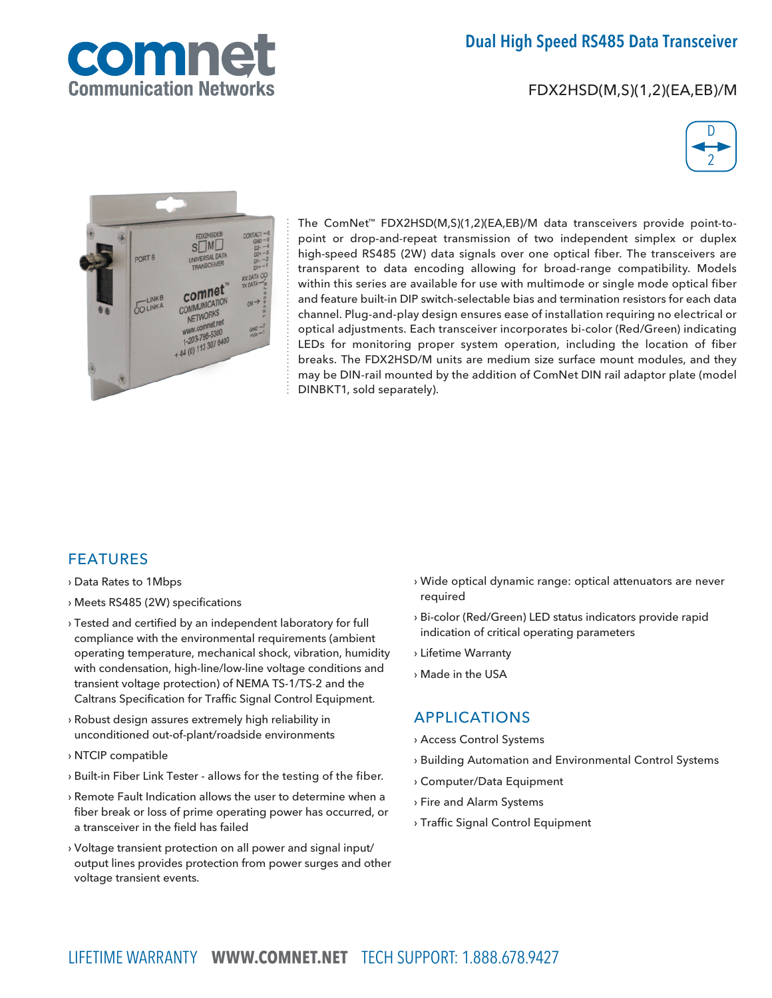

# Dual High Speed RS485 Data Transceiver

FDX2HSD(M,S)(1,2)(EA,EB)/M





The ComNet™ FDX2HSD(M,S)(1,2)(EA,EB)/M data transceivers provide point-topoint or drop-and-repeat transmission of two independent simplex or duplex high-speed RS485 (2W) data signals over one optical fiber. The transceivers are transparent to data encoding allowing for broad-range compatibility. Models within this series are available for use with multimode or single mode optical fiber and feature built-in DIP switch-selectable bias and termination resistors for each data channel. Plug-and-play design ensures ease of installation requiring no electrical or optical adjustments. Each transceiver incorporates bi-color (Red/Green) indicating LEDs for monitoring proper system operation, including the location of fiber breaks. The FDX2HSD/M units are medium size surface mount modules, and they may be DIN-rail mounted by the addition of ComNet DIN rail adaptor plate (model DINBKT1, sold separately).

### **FEATURES**

- › Data Rates to 1Mbps
- › Meets RS485 (2W) specifications
- › Tested and certified by an independent laboratory for full compliance with the environmental requirements (ambient operating temperature, mechanical shock, vibration, humidity with condensation, high-line/low-line voltage conditions and transient voltage protection) of NEMA TS-1/TS-2 and the Caltrans Specification for Traffic Signal Control Equipment.
- › Robust design assures extremely high reliability in unconditioned out-of-plant/roadside environments
- › NTCIP compatible
- › Built-in Fiber Link Tester allows for the testing of the fiber.
- › Remote Fault Indication allows the user to determine when a fiber break or loss of prime operating power has occurred, or a transceiver in the field has failed
- › Voltage transient protection on all power and signal input/ output lines provides protection from power surges and other voltage transient events.
- › Wide optical dynamic range: optical attenuators are never required
- › Bi-color (Red/Green) LED status indicators provide rapid indication of critical operating parameters
- › Lifetime Warranty
- › Made in the USA

## Applications

- › Access Control Systems
- › Building Automation and Environmental Control Systems
- › Computer/Data Equipment
- › Fire and Alarm Systems
- › Traffic Signal Control Equipment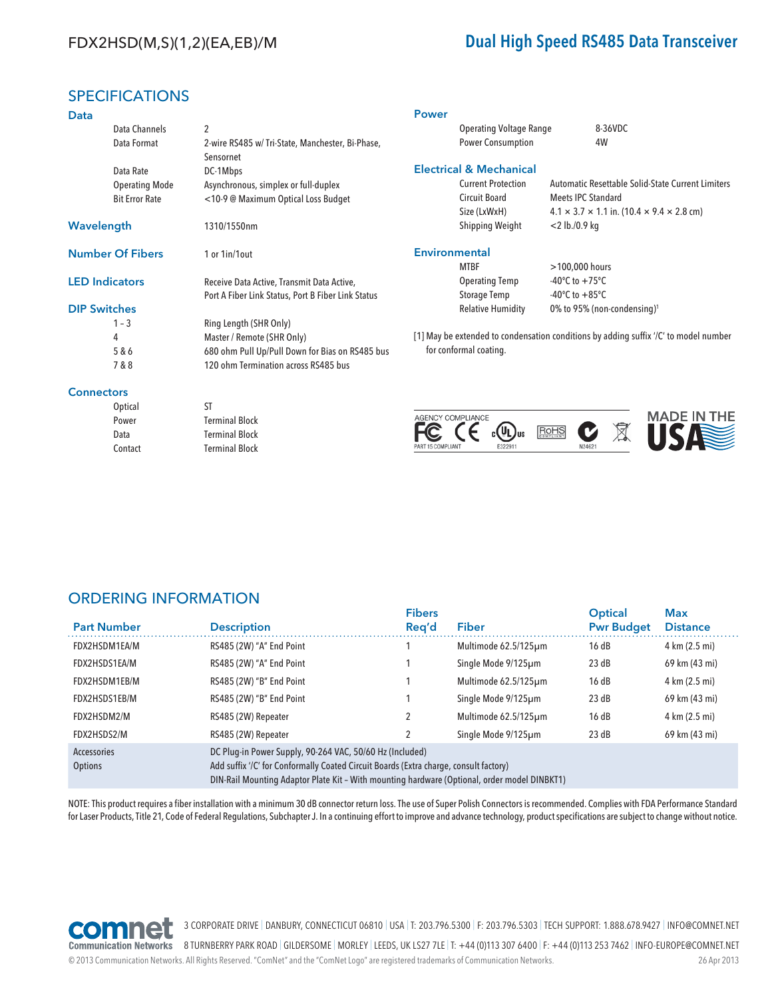# FDX2HSD(M,S)(1,2)(EA,EB)/M Dual High Speed RS485 Data Transceiver

### **SPECIFICATIONS**

| <b>Data</b>           |                         |                                                                                                  | <b>Power</b>                                                                         |                                                         |                                                                                                  |                                                   |  |
|-----------------------|-------------------------|--------------------------------------------------------------------------------------------------|--------------------------------------------------------------------------------------|---------------------------------------------------------|--------------------------------------------------------------------------------------------------|---------------------------------------------------|--|
|                       | Data Channels           | $\overline{c}$                                                                                   | <b>Operating Voltage Range</b>                                                       |                                                         | 8-36VDC                                                                                          |                                                   |  |
|                       | Data Format             | 2-wire RS485 w/ Tri-State, Manchester, Bi-Phase,<br>Sensornet                                    | <b>Power Consumption</b>                                                             |                                                         | 4W                                                                                               |                                                   |  |
|                       | Data Rate               | DC-1Mbps                                                                                         | <b>Electrical &amp; Mechanical</b>                                                   |                                                         |                                                                                                  |                                                   |  |
|                       | <b>Operating Mode</b>   | Asynchronous, simplex or full-duplex                                                             | <b>Current Protection</b>                                                            |                                                         |                                                                                                  | Automatic Resettable Solid-State Current Limiters |  |
|                       | <b>Bit Error Rate</b>   | <10-9 @ Maximum Optical Loss Budget                                                              | <b>Circuit Board</b><br>Size (LxWxH)                                                 |                                                         | <b>Meets IPC Standard</b><br>$4.1 \times 3.7 \times 1.1$ in. (10.4 $\times$ 9.4 $\times$ 2.8 cm) |                                                   |  |
| Wavelength            |                         | 1310/1550nm                                                                                      | Shipping Weight                                                                      | $<$ 2 lb./0.9 kg                                        |                                                                                                  |                                                   |  |
|                       | <b>Number Of Fibers</b> | 1 or 1in/1out                                                                                    | <b>Environmental</b><br><b>MTBF</b>                                                  | >100,000 hours                                          |                                                                                                  |                                                   |  |
| <b>LED Indicators</b> |                         | Receive Data Active, Transmit Data Active,<br>Port A Fiber Link Status, Port B Fiber Link Status | <b>Operating Temp</b><br><b>Storage Temp</b>                                         | -40 $\degree$ C to +75 $\degree$ C<br>-40°C to $+85$ °C |                                                                                                  |                                                   |  |
| <b>DIP Switches</b>   |                         |                                                                                                  | <b>Relative Humidity</b>                                                             | 0% to 95% (non-condensing) <sup>1</sup>                 |                                                                                                  |                                                   |  |
|                       | $1 - 3$                 | Ring Length (SHR Only)                                                                           |                                                                                      |                                                         |                                                                                                  |                                                   |  |
| 4                     |                         | Master / Remote (SHR Only)                                                                       | [1] May be extended to condensation conditions by adding suffix '/C' to model number |                                                         |                                                                                                  |                                                   |  |
|                       | 5 & 6                   | 680 ohm Pull Up/Pull Down for Bias on RS485 bus                                                  | for conformal coating.                                                               |                                                         |                                                                                                  |                                                   |  |
|                       | 7 & 8                   | 120 ohm Termination across RS485 bus                                                             |                                                                                      |                                                         |                                                                                                  |                                                   |  |
| <b>Connectors</b>     |                         |                                                                                                  |                                                                                      |                                                         |                                                                                                  |                                                   |  |
|                       | Optical                 | ST                                                                                               |                                                                                      |                                                         |                                                                                                  |                                                   |  |
|                       | Power                   | <b>Terminal Block</b>                                                                            | AGENCY COMPLIANCE                                                                    |                                                         |                                                                                                  | <b>MADE IN THE</b>                                |  |
|                       | Data                    | <b>Terminal Block</b>                                                                            |                                                                                      | RoHS                                                    |                                                                                                  |                                                   |  |
|                       | Contact                 | <b>Terminal Block</b>                                                                            | E322911<br>PART 15 COMPLIANT                                                         |                                                         | N24621                                                                                           |                                                   |  |

## ORDERING INFORMATION

Contact Terminal Block

| <b>Part Number</b>     | <b>Description</b>                                                                                                                                                                                                                                | <b>Fibers</b><br>Reg'd | Fiber                | <b>Optical</b><br><b>Pwr Budget</b> | <b>Max</b><br><b>Distance</b> |  |  |
|------------------------|---------------------------------------------------------------------------------------------------------------------------------------------------------------------------------------------------------------------------------------------------|------------------------|----------------------|-------------------------------------|-------------------------------|--|--|
| FDX2HSDM1EA/M          | RS485 (2W) "A" End Point                                                                                                                                                                                                                          |                        | Multimode 62.5/125µm | 16dB                                | 4 km (2.5 mi)                 |  |  |
| FDX2HSDS1EA/M          | RS485 (2W) "A" End Point                                                                                                                                                                                                                          |                        | Single Mode 9/125um  | 23 dB                               | 69 km (43 mi)                 |  |  |
| FDX2HSDM1EB/M          | RS485 (2W) "B" End Point                                                                                                                                                                                                                          |                        | Multimode 62.5/125µm | 16dB                                | 4 km (2.5 mi)                 |  |  |
| FDX2HSDS1EB/M          | RS485 (2W) "B" End Point                                                                                                                                                                                                                          |                        | Single Mode 9/125um  | 23 dB                               | 69 km (43 mi)                 |  |  |
| FDX2HSDM2/M            | RS485 (2W) Repeater                                                                                                                                                                                                                               |                        | Multimode 62.5/125um | 16dB                                | 4 km (2.5 mi)                 |  |  |
| FDX2HSDS2/M            | RS485 (2W) Repeater                                                                                                                                                                                                                               |                        | Single Mode 9/125um  | 23 dB                               | 69 km (43 mi)                 |  |  |
| Accessories<br>Options | DC Plug-in Power Supply, 90-264 VAC, 50/60 Hz (Included)<br>Add suffix '/C' for Conformally Coated Circuit Boards (Extra charge, consult factory)<br>DIN-Rail Mounting Adaptor Plate Kit - With mounting hardware (Optional, order model DINBKT1) |                        |                      |                                     |                               |  |  |

NOTE: This product requires a fiber installation with a minimum 30 dB connector return loss. The use of Super Polish Connectors is recommended. Complies with FDA Performance Standard for Laser Products, Title 21, Code of Federal Regulations, Subchapter J. In a continuing effort to improve and advance technology, product specifications are subject to change without notice.



3 CORPORATE DRIVE | DANBURY, CONNECTICUT 06810 | USA | T: 203.796.5300 | F: 203.796.5303 | TECH SUPPORT: 1.888.678.9427 | INFO@COMNET.NET

Communication Networks 8 TURNBERRY PARK ROAD | GILDERSOME | MORLEY | LEEDS, UK LS27 7LE | T: +44 (0)113 307 6400 | F: +44 (0)113 253 7462 | INFO-EUROPE@COMNET.NET

© 2013 Communication Networks. All Rights Reserved. "ComNet" and the "ComNet Logo" are registered trademarks of Communication Networks. 26 Apr 2013